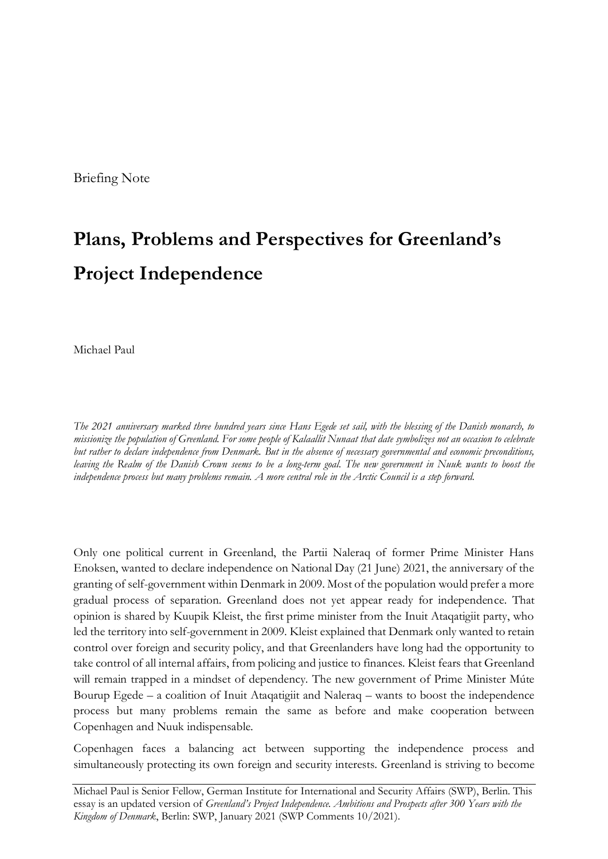Briefing Note

# **Plans, Problems and Perspectives for Greenland's Project Independence**

Michael Paul

*The 2021 anniversary marked three hundred years since Hans Egede set sail, with the blessing of the Danish monarch, to missionize the population of Greenland. For some people of Kalaallit Nunaat that date symbolizes not an occasion to celebrate but rather to declare independence from Denmark. But in the absence of necessary governmental and economic preconditions, leaving the Realm of the Danish Crown seems to be a long-term goal. The new government in Nuuk wants to boost the independence process but many problems remain. A more central role in the Arctic Council is a step forward.*

Only one political current in Greenland, the Partii Naleraq of former Prime Minister Hans Enoksen, wanted to declare independence on National Day (21 June) 2021, the anniversary of the granting of self-government within Denmark in 2009. Most of the population would prefer a more gradual process of separation. Greenland does not yet appear ready for independence. That opinion is shared by Kuupik Kleist, the first prime minister from the Inuit Ataqatigiit party, who led the territory into self-government in 2009. Kleist explained that Denmark only wanted to retain control over foreign and security policy, and that Greenlanders have long had the opportunity to take control of all internal affairs, from policing and justice to finances. Kleist fears that Greenland will remain trapped in a mindset of dependency. The new government of Prime Minister Múte Bourup Egede – a coalition of Inuit Ataqatigiit and Naleraq – wants to boost the independence process but many problems remain the same as before and make cooperation between Copenhagen and Nuuk indispensable.

Copenhagen faces a balancing act between supporting the independence process and simultaneously protecting its own foreign and security interests. Greenland is striving to become

Michael Paul is Senior Fellow, German Institute for International and Security Affairs (SWP), Berlin. This essay is an updated version of *Greenland's Project Independence. Ambitions and Prospects after 300 Years with the Kingdom of Denmark*, Berlin: SWP, January 2021 (SWP Comments 10/2021).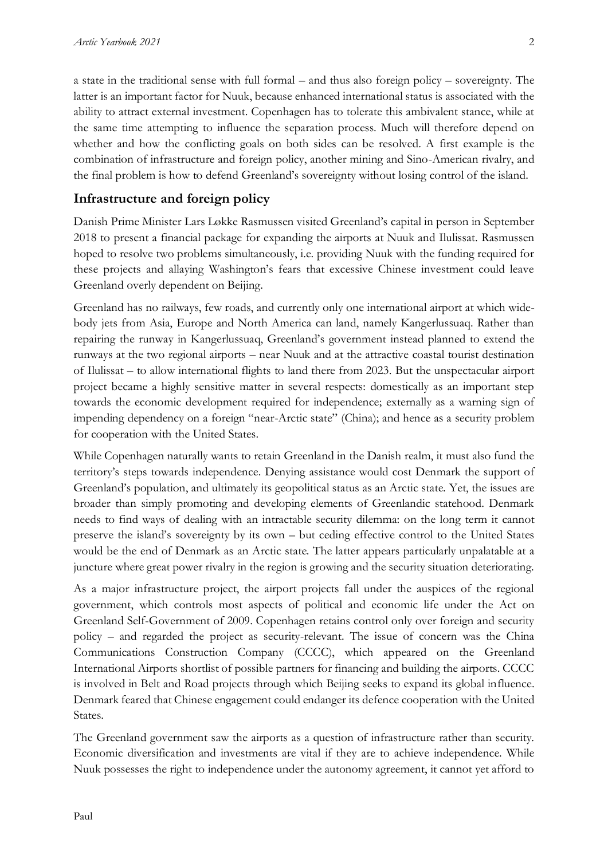a state in the traditional sense with full formal – and thus also foreign policy – sovereignty. The latter is an important factor for Nuuk, because enhanced international status is associated with the ability to attract external investment. Copenhagen has to tolerate this ambivalent stance, while at the same time attempting to influence the separation process. Much will therefore depend on whether and how the conflicting goals on both sides can be resolved. A first example is the combination of infrastructure and foreign policy, another mining and Sino-American rivalry, and the final problem is how to defend Greenland's sovereignty without losing control of the island.

## **Infrastructure and foreign policy**

Danish Prime Minister Lars Løkke Rasmussen visited Greenland's capital in person in September 2018 to present a financial package for expanding the airports at Nuuk and Ilulissat. Rasmussen hoped to resolve two problems simultaneously, i.e. providing Nuuk with the funding required for these projects and allaying Washington's fears that excessive Chinese investment could leave Greenland overly dependent on Beijing.

Greenland has no railways, few roads, and currently only one international airport at which widebody jets from Asia, Europe and North America can land, namely Kangerlussuaq. Rather than repairing the runway in Kangerlussuaq, Greenland's government instead planned to extend the runways at the two regional airports – near Nuuk and at the attractive coastal tourist destination of Ilulissat – to allow international flights to land there from 2023. But the unspectacular airport project became a highly sensitive matter in several respects: domestically as an important step towards the economic development required for independence; externally as a warning sign of impending dependency on a foreign "near-Arctic state" (China); and hence as a security problem for cooperation with the United States.

While Copenhagen naturally wants to retain Greenland in the Danish realm, it must also fund the territory's steps towards independence. Denying assistance would cost Denmark the support of Greenland's population, and ultimately its geopolitical status as an Arctic state. Yet, the issues are broader than simply promoting and developing elements of Greenlandic statehood. Denmark needs to find ways of dealing with an intractable security dilemma: on the long term it cannot preserve the island's sovereignty by its own – but ceding effective control to the United States would be the end of Denmark as an Arctic state. The latter appears particularly unpalatable at a juncture where great power rivalry in the region is growing and the security situation deteriorating.

As a major infrastructure project, the airport projects fall under the auspices of the regional government, which controls most aspects of political and economic life under the Act on Greenland Self-Government of 2009. Copenhagen retains control only over foreign and security policy – and regarded the project as security-relevant. The issue of concern was the China Communications Construction Company (CCCC), which appeared on the Greenland International Airports shortlist of possible partners for financing and building the airports. CCCC is involved in Belt and Road projects through which Beijing seeks to expand its global influence. Denmark feared that Chinese engagement could endanger its defence cooperation with the United States.

The Greenland government saw the airports as a question of infrastructure rather than security. Economic diversification and investments are vital if they are to achieve independence. While Nuuk possesses the right to independence under the autonomy agreement, it cannot yet afford to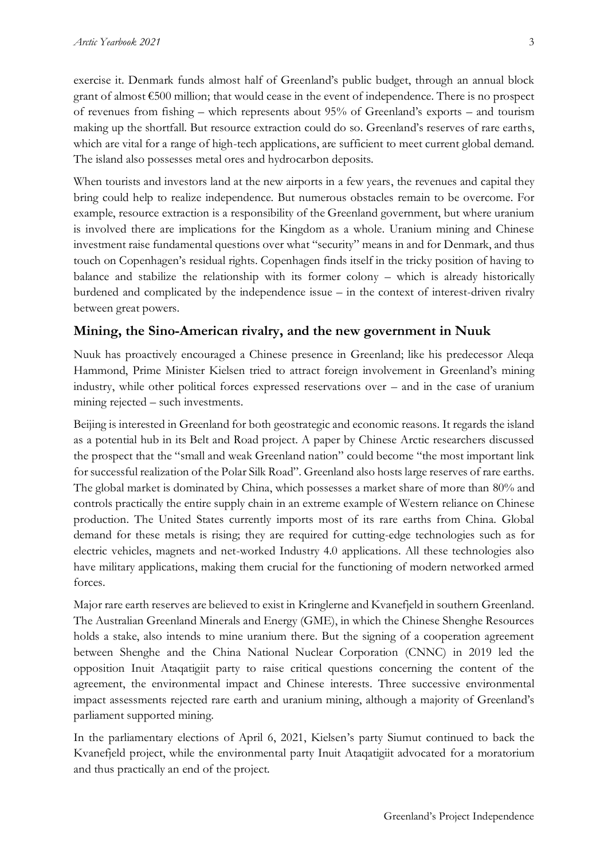exercise it. Denmark funds almost half of Greenland's public budget, through an annual block grant of almost €500 million; that would cease in the event of independence. There is no prospect of revenues from fishing – which represents about 95% of Greenland's exports – and tourism making up the shortfall. But resource extraction could do so. Greenland's reserves of rare earths, which are vital for a range of high-tech applications, are sufficient to meet current global demand. The island also possesses metal ores and hydrocarbon deposits.

When tourists and investors land at the new airports in a few years, the revenues and capital they bring could help to realize independence. But numerous obstacles remain to be overcome. For example, resource extraction is a responsibility of the Greenland government, but where uranium is involved there are implications for the Kingdom as a whole. Uranium mining and Chinese investment raise fundamental questions over what "security" means in and for Denmark, and thus touch on Copenhagen's residual rights. Copenhagen finds itself in the tricky position of having to balance and stabilize the relationship with its former colony – which is already historically burdened and complicated by the independence issue – in the context of interest-driven rivalry between great powers.

#### **Mining, the Sino-American rivalry, and the new government in Nuuk**

Nuuk has proactively encouraged a Chinese presence in Greenland; like his predecessor Aleqa Hammond, Prime Minister Kielsen tried to attract foreign involvement in Greenland's mining industry, while other political forces expressed reservations over – and in the case of uranium mining rejected – such investments.

Beijing is interested in Greenland for both geostrategic and economic reasons. It regards the island as a potential hub in its Belt and Road project. A paper by Chinese Arctic researchers discussed the prospect that the "small and weak Greenland nation" could become "the most important link for successful realization of the Polar Silk Road". Greenland also hosts large reserves of rare earths. The global market is dominated by China, which possesses a market share of more than 80% and controls practically the entire supply chain in an extreme example of Western reliance on Chinese production. The United States currently imports most of its rare earths from China. Global demand for these metals is rising; they are required for cutting-edge technologies such as for electric vehicles, magnets and net-worked Industry 4.0 applications. All these technologies also have military applications, making them crucial for the functioning of modern networked armed forces.

Major rare earth reserves are believed to exist in Kringlerne and Kvanefjeld in southern Greenland. The Australian Greenland Minerals and Energy (GME), in which the Chinese Shenghe Resources holds a stake, also intends to mine uranium there. But the signing of a cooperation agreement between Shenghe and the China National Nuclear Corporation (CNNC) in 2019 led the opposition Inuit Ataqatigiit party to raise critical questions concerning the content of the agreement, the environmental impact and Chinese interests. Three successive environmental impact assessments rejected rare earth and uranium mining, although a majority of Greenland's parliament supported mining.

In the parliamentary elections of April 6, 2021, Kielsen's party Siumut continued to back the Kvanefjeld project, while the environmental party Inuit Ataqatigiit advocated for a moratorium and thus practically an end of the project.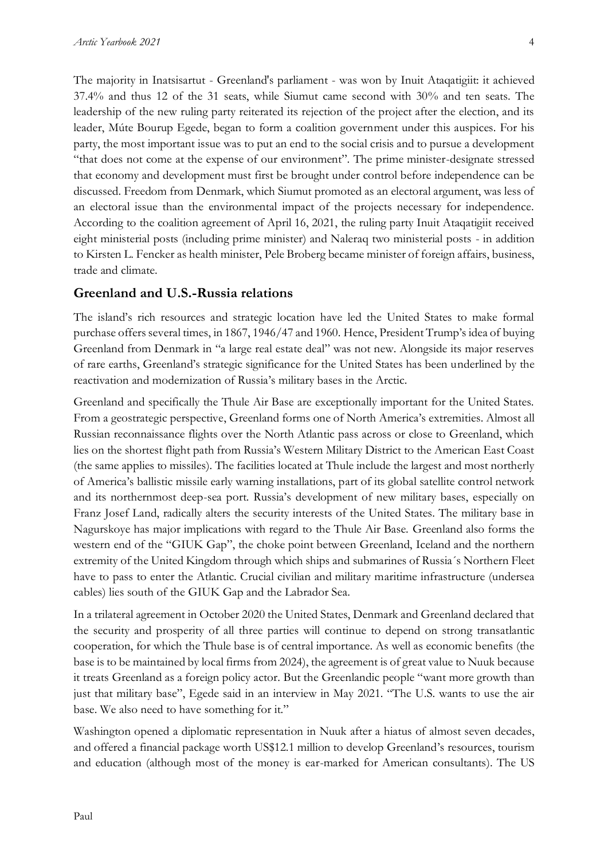The majority in Inatsisartut - Greenland's parliament - was won by Inuit Ataqatigiit: it achieved 37.4% and thus 12 of the 31 seats, while Siumut came second with 30% and ten seats. The leadership of the new ruling party reiterated its rejection of the project after the election, and its leader, Múte Bourup Egede, began to form a coalition government under this auspices. For his party, the most important issue was to put an end to the social crisis and to pursue a development "that does not come at the expense of our environment". The prime minister-designate stressed that economy and development must first be brought under control before independence can be discussed. Freedom from Denmark, which Siumut promoted as an electoral argument, was less of an electoral issue than the environmental impact of the projects necessary for independence. According to the coalition agreement of April 16, 2021, the ruling party Inuit Ataqatigiit received eight ministerial posts (including prime minister) and Naleraq two ministerial posts - in addition to Kirsten L. Fencker as health minister, Pele Broberg became minister of foreign affairs, business, trade and climate.

#### **Greenland and U.S.-Russia relations**

The island's rich resources and strategic location have led the United States to make formal purchase offers several times, in 1867, 1946/47 and 1960. Hence, President Trump's idea of buying Greenland from Denmark in "a large real estate deal" was not new. Alongside its major reserves of rare earths, Greenland's strategic significance for the United States has been underlined by the reactivation and modernization of Russia's military bases in the Arctic.

Greenland and specifically the Thule Air Base are exceptionally important for the United States. From a geostrategic perspective, Greenland forms one of North America's extremities. Almost all Russian reconnaissance flights over the North Atlantic pass across or close to Greenland, which lies on the shortest flight path from Russia's Western Military District to the American East Coast (the same applies to missiles). The facilities located at Thule include the largest and most northerly of America's ballistic missile early warning installations, part of its global satellite control network and its northernmost deep-sea port. Russia's development of new military bases, especially on Franz Josef Land, radically alters the security interests of the United States. The military base in Nagurskoye has major implications with regard to the Thule Air Base. Greenland also forms the western end of the "GIUK Gap", the choke point between Greenland, Iceland and the northern extremity of the United Kingdom through which ships and submarines of Russia´s Northern Fleet have to pass to enter the Atlantic. Crucial civilian and military maritime infrastructure (undersea cables) lies south of the GIUK Gap and the Labrador Sea.

In a trilateral agreement in October 2020 the United States, Denmark and Greenland declared that the security and prosperity of all three parties will continue to depend on strong transatlantic cooperation, for which the Thule base is of central importance. As well as economic benefits (the base is to be maintained by local firms from 2024), the agreement is of great value to Nuuk because it treats Greenland as a foreign policy actor. But the Greenlandic people "want more growth than just that military base", Egede said in an interview in May 2021. "The U.S. wants to use the air base. We also need to have something for it."

Washington opened a diplomatic representation in Nuuk after a hiatus of almost seven decades, and offered a financial package worth US\$12.1 million to develop Greenland's resources, tourism and education (although most of the money is ear-marked for American consultants). The US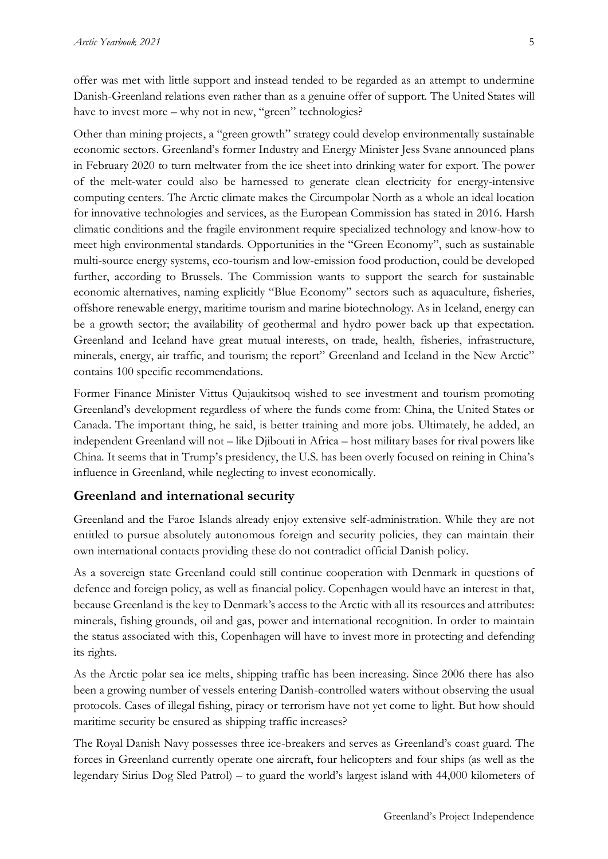offer was met with little support and instead tended to be regarded as an attempt to undermine Danish-Greenland relations even rather than as a genuine offer of support. The United States will have to invest more – why not in new, "green" technologies?

Other than mining projects, a "green growth" strategy could develop environmentally sustainable economic sectors. Greenland's former Industry and Energy Minister Jess Svane announced plans in February 2020 to turn meltwater from the ice sheet into drinking water for export. The power of the melt-water could also be harnessed to generate clean electricity for energy-intensive computing centers. The Arctic climate makes the Circumpolar North as a whole an ideal location for innovative technologies and services, as the European Commission has stated in 2016. Harsh climatic conditions and the fragile environment require specialized technology and know-how to meet high environmental standards. Opportunities in the "Green Economy", such as sustainable multi-source energy systems, eco-tourism and low-emission food production, could be developed further, according to Brussels. The Commission wants to support the search for sustainable economic alternatives, naming explicitly "Blue Economy" sectors such as aquaculture, fisheries, offshore renewable energy, maritime tourism and marine biotechnology. As in Iceland, energy can be a growth sector; the availability of geothermal and hydro power back up that expectation. Greenland and Iceland have great mutual interests, on trade, health, fisheries, infrastructure, minerals, energy, air traffic, and tourism; the report" Greenland and Iceland in the New Arctic" contains 100 specific recommendations.

Former Finance Minister Vittus Qujaukitsoq wished to see investment and tourism promoting Greenland's development regardless of where the funds come from: China, the United States or Canada. The important thing, he said, is better training and more jobs. Ultimately, he added, an independent Greenland will not – like Djibouti in Africa – host military bases for rival powers like China. It seems that in Trump's presidency, the U.S. has been overly focused on reining in China's influence in Greenland, while neglecting to invest economically.

#### **Greenland and international security**

Greenland and the Faroe Islands already enjoy extensive self-administration. While they are not entitled to pursue absolutely autonomous foreign and security policies, they can maintain their own international contacts providing these do not contradict official Danish policy.

As a sovereign state Greenland could still continue cooperation with Denmark in questions of defence and foreign policy, as well as financial policy. Copenhagen would have an interest in that, because Greenland is the key to Denmark's access to the Arctic with all its resources and attributes: minerals, fishing grounds, oil and gas, power and international recognition. In order to maintain the status associated with this, Copenhagen will have to invest more in protecting and defending its rights.

As the Arctic polar sea ice melts, shipping traffic has been increasing. Since 2006 there has also been a growing number of vessels entering Danish-controlled waters without observing the usual protocols. Cases of illegal fishing, piracy or terrorism have not yet come to light. But how should maritime security be ensured as shipping traffic increases?

The Royal Danish Navy possesses three ice-breakers and serves as Greenland's coast guard. The forces in Greenland currently operate one aircraft, four helicopters and four ships (as well as the legendary Sirius Dog Sled Patrol) – to guard the world's largest island with 44,000 kilometers of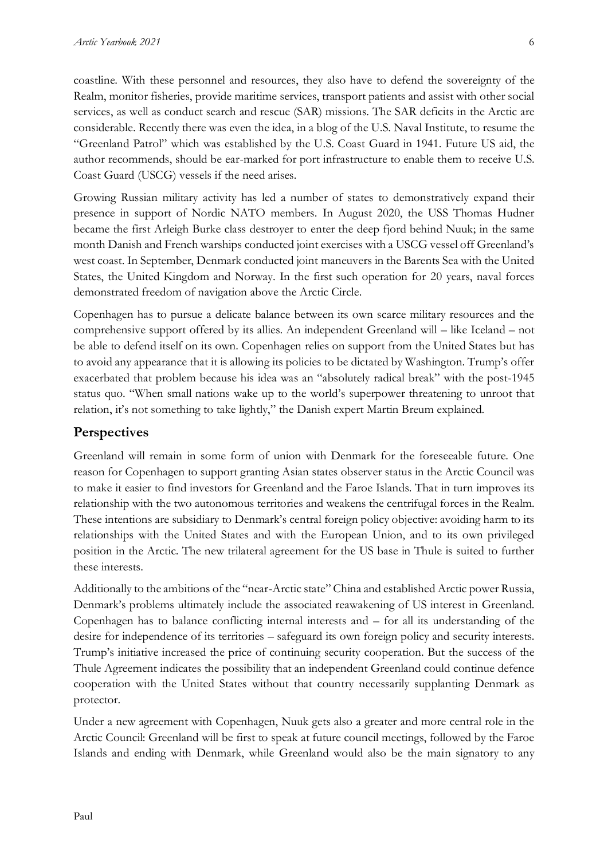coastline. With these personnel and resources, they also have to defend the sovereignty of the Realm, monitor fisheries, provide maritime services, transport patients and assist with other social services, as well as conduct search and rescue (SAR) missions. The SAR deficits in the Arctic are considerable. Recently there was even the idea, in a blog of the U.S. Naval Institute, to resume the "Greenland Patrol" which was established by the U.S. Coast Guard in 1941. Future US aid, the author recommends, should be ear-marked for port infrastructure to enable them to receive U.S. Coast Guard (USCG) vessels if the need arises.

Growing Russian military activity has led a number of states to demonstratively expand their presence in support of Nordic NATO members. In August 2020, the USS Thomas Hudner became the first Arleigh Burke class destroyer to enter the deep fjord behind Nuuk; in the same month Danish and French warships conducted joint exercises with a USCG vessel off Greenland's west coast. In September, Denmark conducted joint maneuvers in the Barents Sea with the United States, the United Kingdom and Norway. In the first such operation for 20 years, naval forces demonstrated freedom of navigation above the Arctic Circle.

Copenhagen has to pursue a delicate balance between its own scarce military resources and the comprehensive support offered by its allies. An independent Greenland will – like Iceland – not be able to defend itself on its own. Copenhagen relies on support from the United States but has to avoid any appearance that it is allowing its policies to be dictated by Washington. Trump's offer exacerbated that problem because his idea was an "absolutely radical break" with the post-1945 status quo. "When small nations wake up to the world's superpower threatening to unroot that relation, it's not something to take lightly," the Danish expert Martin Breum explained.

### **Perspectives**

Greenland will remain in some form of union with Denmark for the foreseeable future. One reason for Copenhagen to support granting Asian states observer status in the Arctic Council was to make it easier to find investors for Greenland and the Faroe Islands. That in turn improves its relationship with the two autonomous territories and weakens the centrifugal forces in the Realm. These intentions are subsidiary to Denmark's central foreign policy objective: avoiding harm to its relationships with the United States and with the European Union, and to its own privileged position in the Arctic. The new trilateral agreement for the US base in Thule is suited to further these interests.

Additionally to the ambitions of the "near-Arctic state" China and established Arctic power Russia, Denmark's problems ultimately include the associated reawakening of US interest in Greenland. Copenhagen has to balance conflicting internal interests and – for all its understanding of the desire for independence of its territories – safeguard its own foreign policy and security interests. Trump's initiative increased the price of continuing security cooperation. But the success of the Thule Agreement indicates the possibility that an independent Greenland could continue defence cooperation with the United States without that country necessarily supplanting Denmark as protector.

Under a new agreement with Copenhagen, Nuuk gets also a greater and more central role in the Arctic Council: Greenland will be first to speak at future council meetings, followed by the Faroe Islands and ending with Denmark, while Greenland would also be the main signatory to any